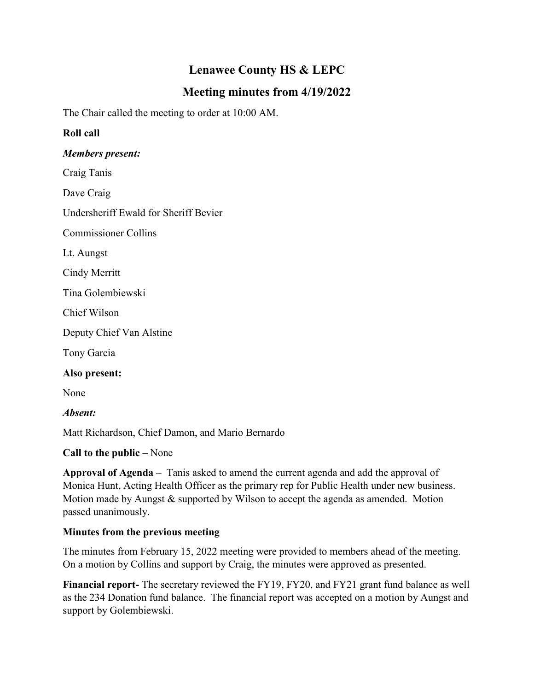# **Lenawee County HS & LEPC**

## **Meeting minutes from 4/19/2022**

The Chair called the meeting to order at 10:00 AM.

## **Roll call**

### *Members present:*

Craig Tanis

Dave Craig

Undersheriff Ewald for Sheriff Bevier

Commissioner Collins

Lt. Aungst

Cindy Merritt

Tina Golembiewski

Chief Wilson

Deputy Chief Van Alstine

Tony Garcia

#### **Also present:**

None

*Absent:*

Matt Richardson, Chief Damon, and Mario Bernardo

## **Call to the public** – None

**Approval of Agenda** – Tanis asked to amend the current agenda and add the approval of Monica Hunt, Acting Health Officer as the primary rep for Public Health under new business. Motion made by Aungst & supported by Wilson to accept the agenda as amended. Motion passed unanimously.

## **Minutes from the previous meeting**

The minutes from February 15, 2022 meeting were provided to members ahead of the meeting. On a motion by Collins and support by Craig, the minutes were approved as presented.

**Financial report-** The secretary reviewed the FY19, FY20, and FY21 grant fund balance as well as the 234 Donation fund balance. The financial report was accepted on a motion by Aungst and support by Golembiewski.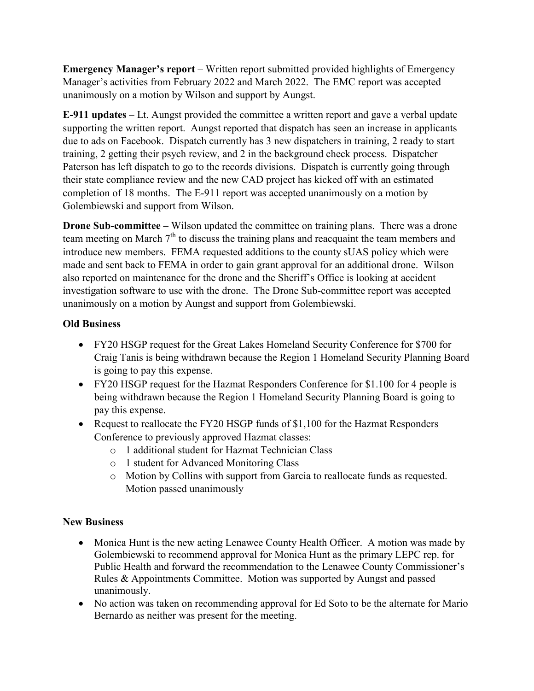**Emergency Manager's report** – Written report submitted provided highlights of Emergency Manager's activities from February 2022 and March 2022. The EMC report was accepted unanimously on a motion by Wilson and support by Aungst.

**E-911 updates** – Lt. Aungst provided the committee a written report and gave a verbal update supporting the written report. Aungst reported that dispatch has seen an increase in applicants due to ads on Facebook. Dispatch currently has 3 new dispatchers in training, 2 ready to start training, 2 getting their psych review, and 2 in the background check process. Dispatcher Paterson has left dispatch to go to the records divisions. Dispatch is currently going through their state compliance review and the new CAD project has kicked off with an estimated completion of 18 months. The E-911 report was accepted unanimously on a motion by Golembiewski and support from Wilson.

**Drone Sub-committee** – Wilson updated the committee on training plans. There was a drone team meeting on March  $7<sup>th</sup>$  to discuss the training plans and reacquaint the team members and introduce new members. FEMA requested additions to the county sUAS policy which were made and sent back to FEMA in order to gain grant approval for an additional drone. Wilson also reported on maintenance for the drone and the Sheriff's Office is looking at accident investigation software to use with the drone. The Drone Sub-committee report was accepted unanimously on a motion by Aungst and support from Golembiewski.

## **Old Business**

- FY20 HSGP request for the Great Lakes Homeland Security Conference for \$700 for Craig Tanis is being withdrawn because the Region 1 Homeland Security Planning Board is going to pay this expense.
- FY20 HSGP request for the Hazmat Responders Conference for \$1.100 for 4 people is being withdrawn because the Region 1 Homeland Security Planning Board is going to pay this expense.
- Request to reallocate the FY20 HSGP funds of \$1,100 for the Hazmat Responders Conference to previously approved Hazmat classes:
	- o 1 additional student for Hazmat Technician Class
	- o 1 student for Advanced Monitoring Class
	- o Motion by Collins with support from Garcia to reallocate funds as requested. Motion passed unanimously

## **New Business**

- Monica Hunt is the new acting Lenawee County Health Officer. A motion was made by Golembiewski to recommend approval for Monica Hunt as the primary LEPC rep. for Public Health and forward the recommendation to the Lenawee County Commissioner's Rules & Appointments Committee. Motion was supported by Aungst and passed unanimously.
- No action was taken on recommending approval for Ed Soto to be the alternate for Mario Bernardo as neither was present for the meeting.